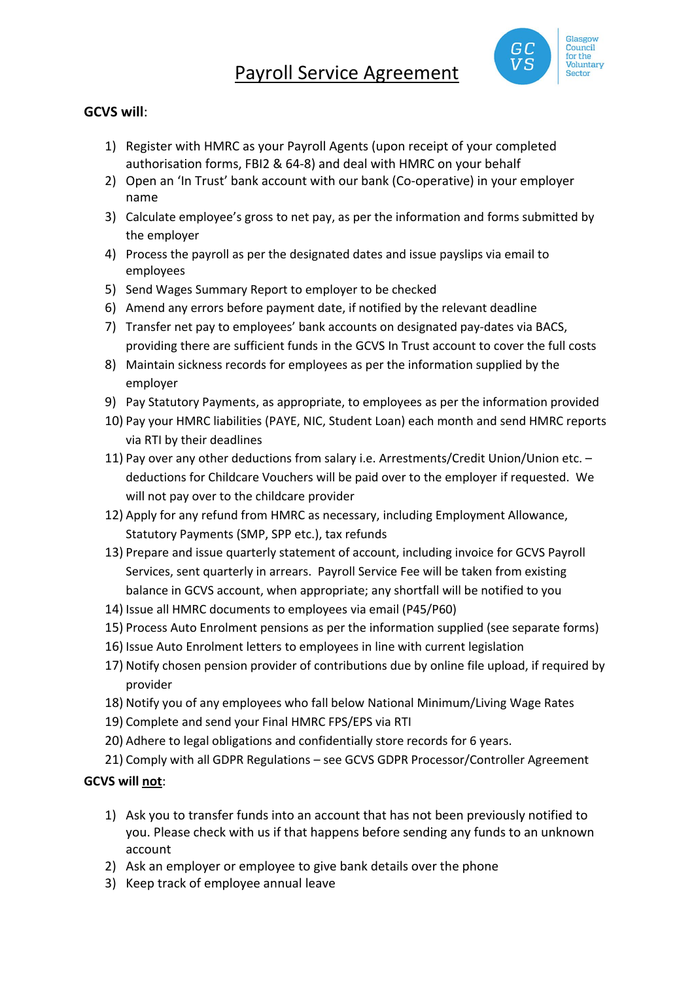# Payroll Service Agreement



#### **GCVS will**:

- 1) Register with HMRC as your Payroll Agents (upon receipt of your completed authorisation forms, FBI2 & 64-8) and deal with HMRC on your behalf
- 2) Open an 'In Trust' bank account with our bank (Co-operative) in your employer name
- 3) Calculate employee's gross to net pay, as per the information and forms submitted by the employer
- 4) Process the payroll as per the designated dates and issue payslips via email to employees
- 5) Send Wages Summary Report to employer to be checked
- 6) Amend any errors before payment date, if notified by the relevant deadline
- 7) Transfer net pay to employees' bank accounts on designated pay-dates via BACS, providing there are sufficient funds in the GCVS In Trust account to cover the full costs
- 8) Maintain sickness records for employees as per the information supplied by the employer
- 9) Pay Statutory Payments, as appropriate, to employees as per the information provided
- 10) Pay your HMRC liabilities (PAYE, NIC, Student Loan) each month and send HMRC reports via RTI by their deadlines
- 11) Pay over any other deductions from salary i.e. Arrestments/Credit Union/Union etc. deductions for Childcare Vouchers will be paid over to the employer if requested. We will not pay over to the childcare provider
- 12) Apply for any refund from HMRC as necessary, including Employment Allowance, Statutory Payments (SMP, SPP etc.), tax refunds
- 13) Prepare and issue quarterly statement of account, including invoice for GCVS Payroll Services, sent quarterly in arrears. Payroll Service Fee will be taken from existing balance in GCVS account, when appropriate; any shortfall will be notified to you
- 14) Issue all HMRC documents to employees via email (P45/P60)
- 15) Process Auto Enrolment pensions as per the information supplied (see separate forms)
- 16) Issue Auto Enrolment letters to employees in line with current legislation
- 17) Notify chosen pension provider of contributions due by online file upload, if required by provider
- 18) Notify you of any employees who fall below National Minimum/Living Wage Rates
- 19) Complete and send your Final HMRC FPS/EPS via RTI
- 20) Adhere to legal obligations and confidentially store records for 6 years.
- 21) Comply with all GDPR Regulations see GCVS GDPR Processor/Controller Agreement

### **GCVS will not**:

- 1) Ask you to transfer funds into an account that has not been previously notified to you. Please check with us if that happens before sending any funds to an unknown account
- 2) Ask an employer or employee to give bank details over the phone
- 3) Keep track of employee annual leave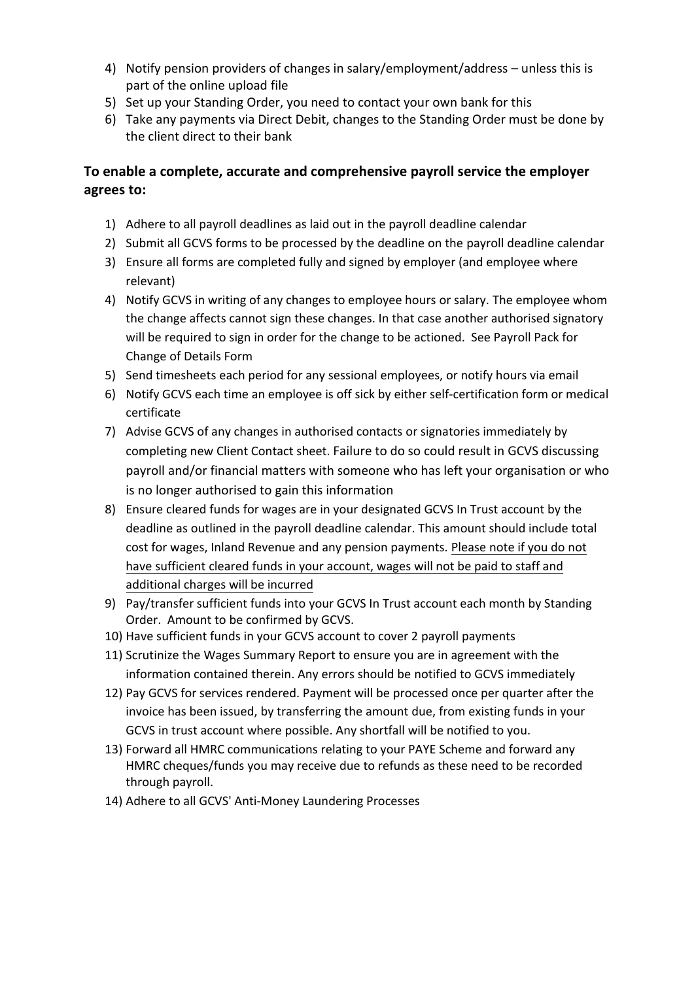- 4) Notify pension providers of changes in salary/employment/address unless this is part of the online upload file
- 5) Set up your Standing Order, you need to contact your own bank for this
- 6) Take any payments via Direct Debit, changes to the Standing Order must be done by the client direct to their bank

## **To enable a complete, accurate and comprehensive payroll service the employer agrees to:**

- 1) Adhere to all payroll deadlines as laid out in the payroll deadline calendar
- 2) Submit all GCVS forms to be processed by the deadline on the payroll deadline calendar
- 3) Ensure all forms are completed fully and signed by employer (and employee where relevant)
- 4) Notify GCVS in writing of any changes to employee hours or salary. The employee whom the change affects cannot sign these changes. In that case another authorised signatory will be required to sign in order for the change to be actioned. See Payroll Pack for Change of Details Form
- 5) Send timesheets each period for any sessional employees, or notify hours via email
- 6) Notify GCVS each time an employee is off sick by either self-certification form or medical certificate
- 7) Advise GCVS of any changes in authorised contacts or signatories immediately by completing new Client Contact sheet. Failure to do so could result in GCVS discussing payroll and/or financial matters with someone who has left your organisation or who is no longer authorised to gain this information
- 8) Ensure cleared funds for wages are in your designated GCVS In Trust account by the deadline as outlined in the payroll deadline calendar. This amount should include total cost for wages, Inland Revenue and any pension payments. Please note if you do not have sufficient cleared funds in your account, wages will not be paid to staff and additional charges will be incurred
- 9) Pay/transfer sufficient funds into your GCVS In Trust account each month by Standing Order. Amount to be confirmed by GCVS.
- 10) Have sufficient funds in your GCVS account to cover 2 payroll payments
- 11) Scrutinize the Wages Summary Report to ensure you are in agreement with the information contained therein. Any errors should be notified to GCVS immediately
- 12) Pay GCVS for services rendered. Payment will be processed once per quarter after the invoice has been issued, by transferring the amount due, from existing funds in your GCVS in trust account where possible. Any shortfall will be notified to you.
- 13) Forward all HMRC communications relating to your PAYE Scheme and forward any HMRC cheques/funds you may receive due to refunds as these need to be recorded through payroll.
- 14) Adhere to all GCVS' Anti-Money Laundering Processes